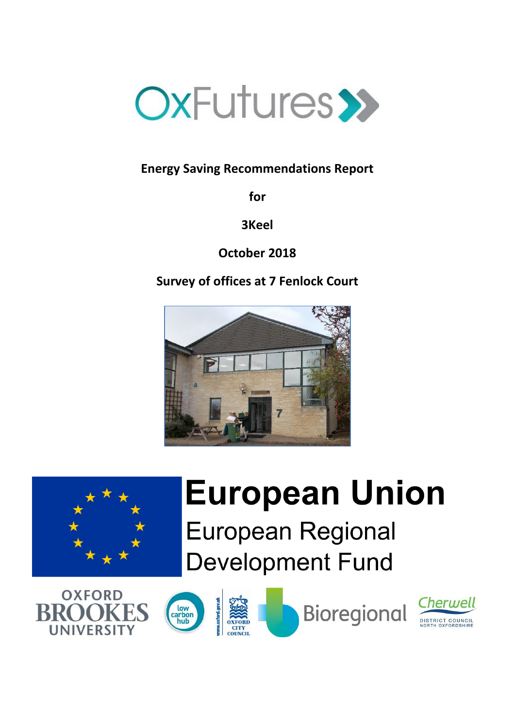

# **Energy Saving Recommendations Report**

**for**

**3Keel**

**October 2018**

**Survey of offices at 7 Fenlock Court**





# **European Union European Regional Development Fund**



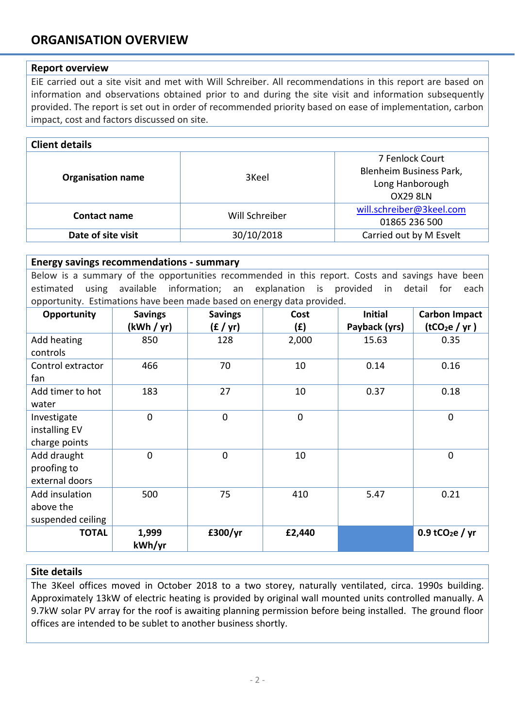# **ORGANISATION OVERVIEW**

## **Report overview**

EiE carried out a site visit and met with Will Schreiber. All recommendations in this report are based on information and observations obtained prior to and during the site visit and information subsequently provided. The report is set out in order of recommended priority based on ease of implementation, carbon impact, cost and factors discussed on site.

| <b>Client details</b>    |                |                                                                                  |  |
|--------------------------|----------------|----------------------------------------------------------------------------------|--|
| <b>Organisation name</b> | 3Keel          | 7 Fenlock Court<br>Blenheim Business Park,<br>Long Hanborough<br><b>OX29 8LN</b> |  |
| <b>Contact name</b>      | Will Schreiber | will.schreiber@3keel.com<br>01865 236 500                                        |  |
| Date of site visit       | 30/10/2018     | Carried out by M Esvelt                                                          |  |

#### **Energy savings recommendations - summary**

Below is a summary of the opportunities recommended in this report. Costs and savings have been estimated using available information; an explanation is provided in detail for each opportunity. Estimations have been made based on energy data provided.

| Opportunity       | <b>Savings</b> | <b>Savings</b> | Cost      | <b>Initial</b> | <b>Carbon Impact</b>          |
|-------------------|----------------|----------------|-----------|----------------|-------------------------------|
|                   | (kWh / yr)     | (E / yr)       | (f)       | Payback (yrs)  | (tCO <sub>2</sub> e / yr)     |
| Add heating       | 850            | 128            | 2,000     | 15.63          | 0.35                          |
| controls          |                |                |           |                |                               |
| Control extractor | 466            | 70             | 10        | 0.14           | 0.16                          |
| fan               |                |                |           |                |                               |
| Add timer to hot  | 183            | 27             | 10        | 0.37           | 0.18                          |
| water             |                |                |           |                |                               |
| Investigate       | $\mathbf 0$    | $\pmb{0}$      | $\pmb{0}$ |                | $\mathbf 0$                   |
| installing EV     |                |                |           |                |                               |
| charge points     |                |                |           |                |                               |
| Add draught       | $\mathbf 0$    | $\mathbf 0$    | 10        |                | $\mathbf 0$                   |
| proofing to       |                |                |           |                |                               |
| external doors    |                |                |           |                |                               |
| Add insulation    | 500            | 75             | 410       | 5.47           | 0.21                          |
| above the         |                |                |           |                |                               |
| suspended ceiling |                |                |           |                |                               |
| <b>TOTAL</b>      | 1,999          | £300/yr        | £2,440    |                | $0.9$ tCO <sub>2</sub> e / yr |
|                   | kWh/yr         |                |           |                |                               |

## **Site details**

The 3Keel offices moved in October 2018 to a two storey, naturally ventilated, circa. 1990s building. Approximately 13kW of electric heating is provided by original wall mounted units controlled manually. A 9.7kW solar PV array for the roof is awaiting planning permission before being installed. The ground floor offices are intended to be sublet to another business shortly.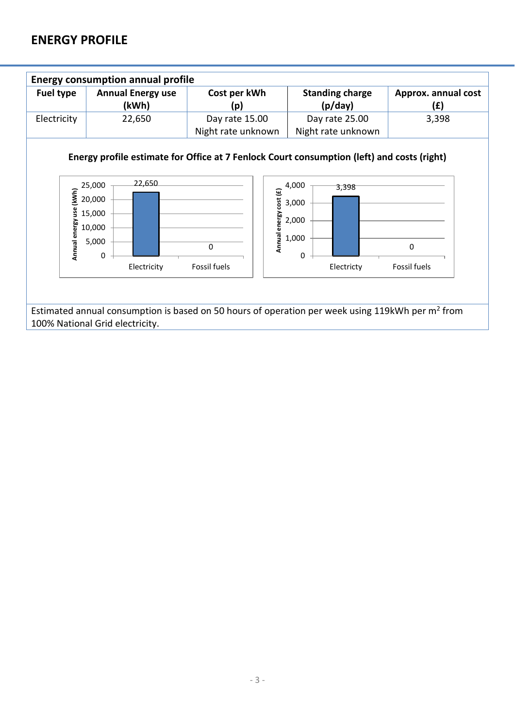## **ENERGY PROFILE**

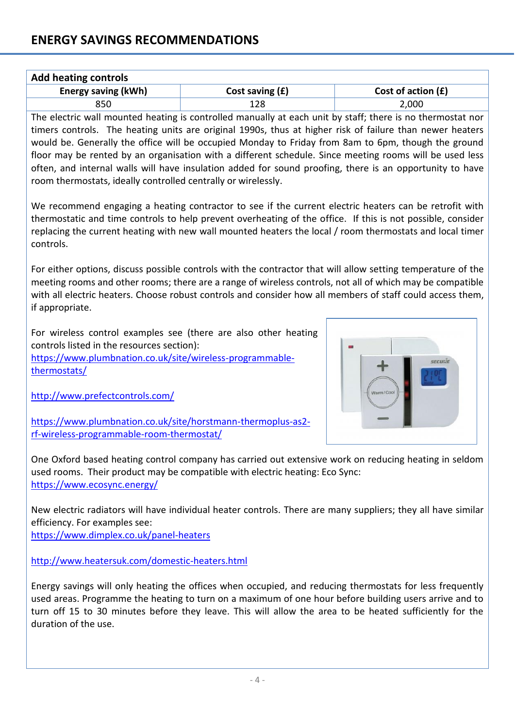| <b>Add heating controls</b> |                   |                      |  |
|-----------------------------|-------------------|----------------------|--|
| <b>Energy saving (kWh)</b>  | Cost saving $(f)$ | Cost of action $(f)$ |  |
| 850                         | 128               | 2,000                |  |

The electric wall mounted heating is controlled manually at each unit by staff; there is no thermostat nor timers controls. The heating units are original 1990s, thus at higher risk of failure than newer heaters would be. Generally the office will be occupied Monday to Friday from 8am to 6pm, though the ground floor may be rented by an organisation with a different schedule. Since meeting rooms will be used less often, and internal walls will have insulation added for sound proofing, there is an opportunity to have room thermostats, ideally controlled centrally or wirelessly.

We recommend engaging a heating contractor to see if the current electric heaters can be retrofit with thermostatic and time controls to help prevent overheating of the office. If this is not possible, consider replacing the current heating with new wall mounted heaters the local / room thermostats and local timer controls.

For either options, discuss possible controls with the contractor that will allow setting temperature of the meeting rooms and other rooms; there are a range of wireless controls, not all of which may be compatible with all electric heaters. Choose robust controls and consider how all members of staff could access them, if appropriate.

For wireless control examples see (there are also other heating controls listed in the resources section):

[https://www.plumbnation.co.uk/site/wireless-programmable](https://www.plumbnation.co.uk/site/wireless-programmable-thermostats/)[thermostats/](https://www.plumbnation.co.uk/site/wireless-programmable-thermostats/)

<http://www.prefectcontrols.com/>



[https://www.plumbnation.co.uk/site/horstmann-thermoplus-as2](https://www.plumbnation.co.uk/site/horstmann-thermoplus-as2-rf-wireless-programmable-room-thermostat/) [rf-wireless-programmable-room-thermostat/](https://www.plumbnation.co.uk/site/horstmann-thermoplus-as2-rf-wireless-programmable-room-thermostat/)

One Oxford based heating control company has carried out extensive work on reducing heating in seldom used rooms. Their product may be compatible with electric heating: Eco Sync: <https://www.ecosync.energy/>

New electric radiators will have individual heater controls. There are many suppliers; they all have similar efficiency. For examples see:

<https://www.dimplex.co.uk/panel-heaters>

<http://www.heatersuk.com/domestic-heaters.html>

Energy savings will only heating the offices when occupied, and reducing thermostats for less frequently used areas. Programme the heating to turn on a maximum of one hour before building users arrive and to turn off 15 to 30 minutes before they leave. This will allow the area to be heated sufficiently for the duration of the use.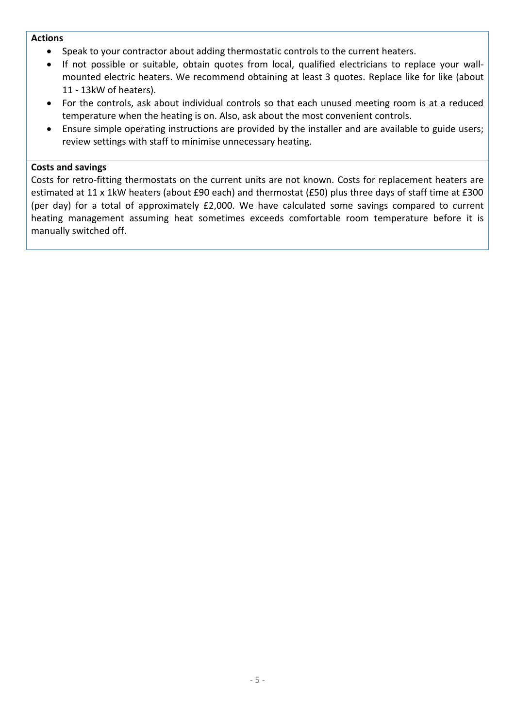## **Actions**

- Speak to your contractor about adding thermostatic controls to the current heaters.
- If not possible or suitable, obtain quotes from local, qualified electricians to replace your wallmounted electric heaters. We recommend obtaining at least 3 quotes. Replace like for like (about 11 - 13kW of heaters).
- For the controls, ask about individual controls so that each unused meeting room is at a reduced temperature when the heating is on. Also, ask about the most convenient controls.
- Ensure simple operating instructions are provided by the installer and are available to guide users; review settings with staff to minimise unnecessary heating.

## **Costs and savings**

Costs for retro-fitting thermostats on the current units are not known. Costs for replacement heaters are estimated at 11 x 1kW heaters (about £90 each) and thermostat (£50) plus three days of staff time at £300 (per day) for a total of approximately £2,000. We have calculated some savings compared to current heating management assuming heat sometimes exceeds comfortable room temperature before it is manually switched off.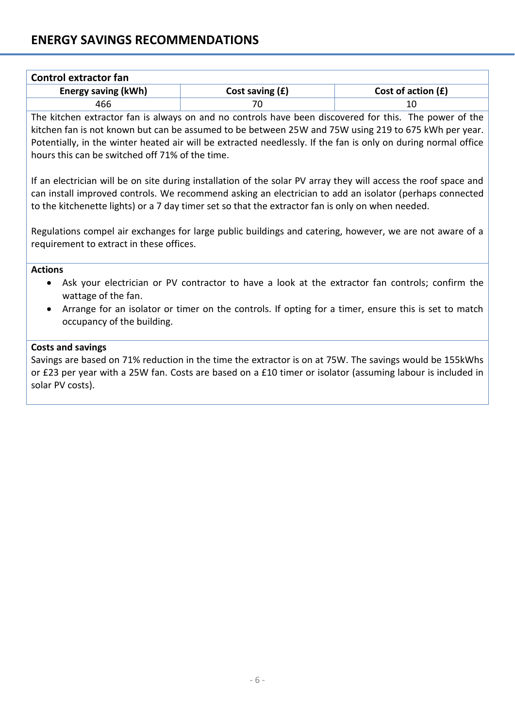# **ENERGY SAVINGS RECOMMENDATIONS**

| <b>Control extractor fan</b> |                      |  |  |
|------------------------------|----------------------|--|--|
| Cost saving $(f)$            | Cost of action $(f)$ |  |  |
|                              |                      |  |  |
|                              |                      |  |  |

The kitchen extractor fan is always on and no controls have been discovered for this. The power of the kitchen fan is not known but can be assumed to be between 25W and 75W using 219 to 675 kWh per year. Potentially, in the winter heated air will be extracted needlessly. If the fan is only on during normal office hours this can be switched off 71% of the time.

If an electrician will be on site during installation of the solar PV array they will access the roof space and can install improved controls. We recommend asking an electrician to add an isolator (perhaps connected to the kitchenette lights) or a 7 day timer set so that the extractor fan is only on when needed.

Regulations compel air exchanges for large public buildings and catering, however, we are not aware of a requirement to extract in these offices.

## **Actions**

- Ask your electrician or PV contractor to have a look at the extractor fan controls; confirm the wattage of the fan.
- Arrange for an isolator or timer on the controls. If opting for a timer, ensure this is set to match occupancy of the building.

#### **Costs and savings**

Savings are based on 71% reduction in the time the extractor is on at 75W. The savings would be 155kWhs or £23 per year with a 25W fan. Costs are based on a £10 timer or isolator (assuming labour is included in solar PV costs).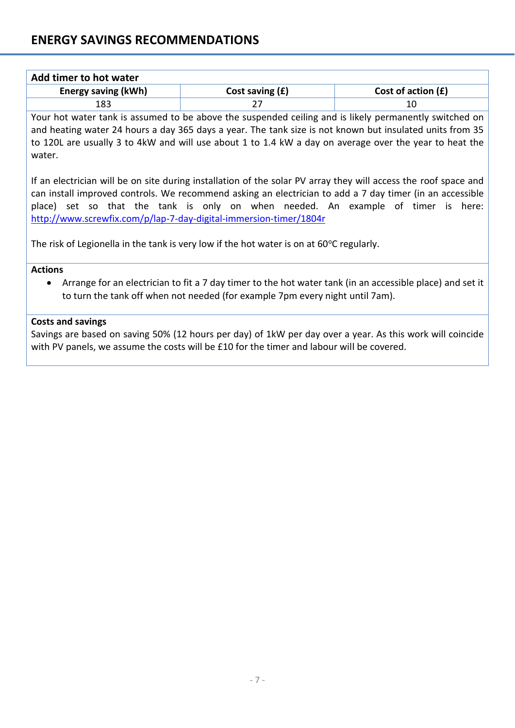| Add timer to hot water     |                   |                      |  |
|----------------------------|-------------------|----------------------|--|
| <b>Energy saving (kWh)</b> | Cost saving $(f)$ | Cost of action $(f)$ |  |
| 183                        |                   |                      |  |

Your hot water tank is assumed to be above the suspended ceiling and is likely permanently switched on and heating water 24 hours a day 365 days a year. The tank size is not known but insulated units from 35 to 120L are usually 3 to 4kW and will use about 1 to 1.4 kW a day on average over the year to heat the water.

If an electrician will be on site during installation of the solar PV array they will access the roof space and can install improved controls. We recommend asking an electrician to add a 7 day timer (in an accessible place) set so that the tank is only on when needed. An example of timer is here: <http://www.screwfix.com/p/lap-7-day-digital-immersion-timer/1804r>

The risk of Legionella in the tank is very low if the hot water is on at  $60^{\circ}$ C regularly.

## **Actions**

 Arrange for an electrician to fit a 7 day timer to the hot water tank (in an accessible place) and set it to turn the tank off when not needed (for example 7pm every night until 7am).

## **Costs and savings**

Savings are based on saving 50% (12 hours per day) of 1kW per day over a year. As this work will coincide with PV panels, we assume the costs will be £10 for the timer and labour will be covered.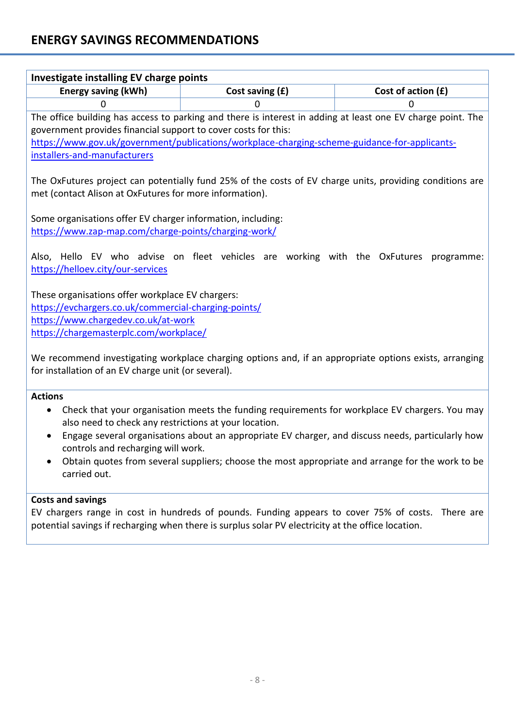| Investigate installing EV charge points                                                                                                                                                                                        |                 |                                                                                                             |
|--------------------------------------------------------------------------------------------------------------------------------------------------------------------------------------------------------------------------------|-----------------|-------------------------------------------------------------------------------------------------------------|
| <b>Energy saving (kWh)</b>                                                                                                                                                                                                     | Cost saving (£) | Cost of action (£)                                                                                          |
| 0                                                                                                                                                                                                                              | 0               | 0                                                                                                           |
|                                                                                                                                                                                                                                |                 | The office building has access to parking and there is interest in adding at least one EV charge point. The |
| government provides financial support to cover costs for this:                                                                                                                                                                 |                 |                                                                                                             |
| https://www.gov.uk/government/publications/workplace-charging-scheme-guidance-for-applicants-                                                                                                                                  |                 |                                                                                                             |
| installers-and-manufacturers                                                                                                                                                                                                   |                 |                                                                                                             |
| met (contact Alison at OxFutures for more information).                                                                                                                                                                        |                 | The OxFutures project can potentially fund 25% of the costs of EV charge units, providing conditions are    |
| Some organisations offer EV charger information, including:                                                                                                                                                                    |                 |                                                                                                             |
| https://www.zap-map.com/charge-points/charging-work/                                                                                                                                                                           |                 |                                                                                                             |
| https://helloev.city/our-services<br>These organisations offer workplace EV chargers:<br>https://evchargers.co.uk/commercial-charging-points/<br>https://www.chargedev.co.uk/at-work<br>https://chargemasterplc.com/workplace/ |                 | Also, Hello EV who advise on fleet vehicles are working with the OxFutures programme:                       |
| for installation of an EV charge unit (or several).                                                                                                                                                                            |                 | We recommend investigating workplace charging options and, if an appropriate options exists, arranging      |
| <b>Actions</b>                                                                                                                                                                                                                 |                 |                                                                                                             |
| ٠<br>also need to check any restrictions at your location.                                                                                                                                                                     |                 | Check that your organisation meets the funding requirements for workplace EV chargers. You may              |
| controls and recharging will work.                                                                                                                                                                                             |                 | Engage several organisations about an appropriate EV charger, and discuss needs, particularly how           |
|                                                                                                                                                                                                                                |                 | Obtain quotes from several suppliers; choose the most appropriate and arrange for the work to be            |

## **Costs and savings**

carried out.

EV chargers range in cost in hundreds of pounds. Funding appears to cover 75% of costs. There are potential savings if recharging when there is surplus solar PV electricity at the office location.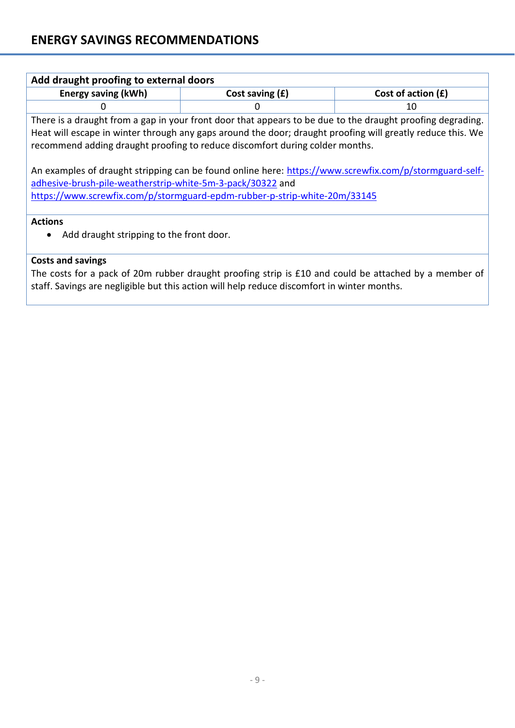| Add draught proofing to external doors                                                                                                                                                                                                                                                                   |                   |                      |  |
|----------------------------------------------------------------------------------------------------------------------------------------------------------------------------------------------------------------------------------------------------------------------------------------------------------|-------------------|----------------------|--|
| <b>Energy saving (kWh)</b>                                                                                                                                                                                                                                                                               | Cost saving $(f)$ | Cost of action $(f)$ |  |
|                                                                                                                                                                                                                                                                                                          |                   | 10                   |  |
| There is a draught from a gap in your front door that appears to be due to the draught proofing degrading.<br>Heat will escape in winter through any gaps around the door; draught proofing will greatly reduce this. We<br>recommend adding draught proofing to reduce discomfort during colder months. |                   |                      |  |
| An examples of draught stripping can be found online here: https://www.screwfix.com/p/stormguard-self-                                                                                                                                                                                                   |                   |                      |  |

[adhesive-brush-pile-weatherstrip-white-5m-3-pack/30322](https://www.screwfix.com/p/stormguard-self-adhesive-brush-pile-weatherstrip-white-5m-3-pack/30322) and <https://www.screwfix.com/p/stormguard-epdm-rubber-p-strip-white-20m/33145>

## **Actions**

• Add draught stripping to the front door.

## **Costs and savings**

The costs for a pack of 20m rubber draught proofing strip is £10 and could be attached by a member of staff. Savings are negligible but this action will help reduce discomfort in winter months.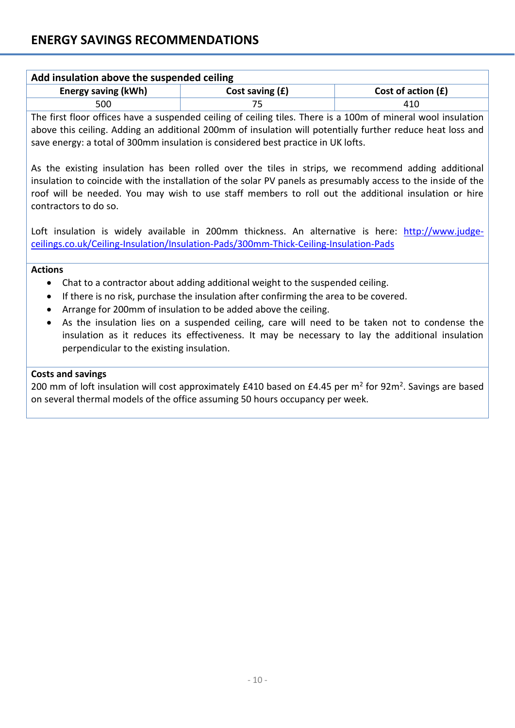| Add insulation above the suspended ceiling |                   |                      |  |
|--------------------------------------------|-------------------|----------------------|--|
| <b>Energy saving (kWh)</b>                 | Cost saving $(f)$ | Cost of action $(f)$ |  |
| 500                                        |                   | 410                  |  |

The first floor offices have a suspended ceiling of ceiling tiles. There is a 100m of mineral wool insulation above this ceiling. Adding an additional 200mm of insulation will potentially further reduce heat loss and save energy: a total of 300mm insulation is considered best practice in UK lofts.

As the existing insulation has been rolled over the tiles in strips, we recommend adding additional insulation to coincide with the installation of the solar PV panels as presumably access to the inside of the roof will be needed. You may wish to use staff members to roll out the additional insulation or hire contractors to do so.

Loft insulation is widely available in 200mm thickness. An alternative is here: [http://www.judge](http://www.judge-ceilings.co.uk/Ceiling-Insulation/Insulation-Pads/300mm-Thick-Ceiling-Insulation-Pads)[ceilings.co.uk/Ceiling-Insulation/Insulation-Pads/300mm-Thick-Ceiling-Insulation-Pads](http://www.judge-ceilings.co.uk/Ceiling-Insulation/Insulation-Pads/300mm-Thick-Ceiling-Insulation-Pads)

## **Actions**

- Chat to a contractor about adding additional weight to the suspended ceiling.
- If there is no risk, purchase the insulation after confirming the area to be covered.
- Arrange for 200mm of insulation to be added above the ceiling.
- As the insulation lies on a suspended ceiling, care will need to be taken not to condense the insulation as it reduces its effectiveness. It may be necessary to lay the additional insulation perpendicular to the existing insulation.

## **Costs and savings**

200 mm of loft insulation will cost approximately £410 based on £4.45 per m<sup>2</sup> for 92m<sup>2</sup>. Savings are based on several thermal models of the office assuming 50 hours occupancy per week.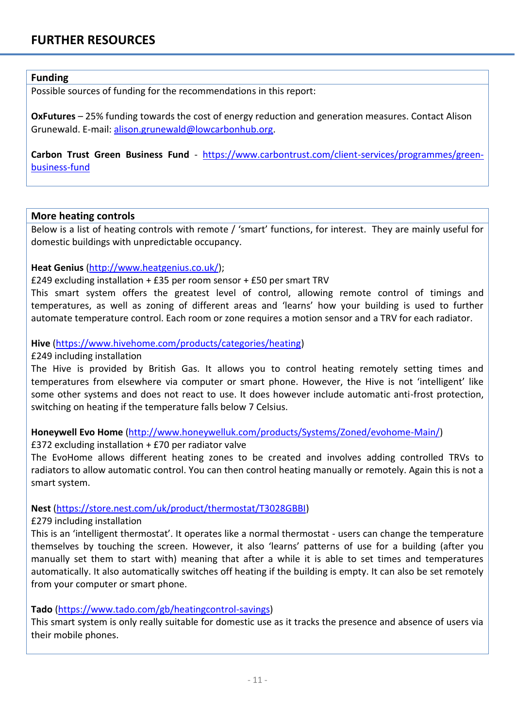## **Funding**

Possible sources of funding for the recommendations in this report:

**OxFutures** – 25% funding towards the cost of energy reduction and generation measures. Contact Alison Grunewald. E-mail: [alison.grunewald@lowcarbonhub.org.](mailto:alison.grunewald@lowcarbonhub.org)

**Carbon Trust Green Business Fund** - [https://www.carbontrust.com/client-services/programmes/green](https://www.carbontrust.com/client-services/programmes/green-business-fund)[business-fund](https://www.carbontrust.com/client-services/programmes/green-business-fund)

## **More heating controls**

Below is a list of heating controls with remote / 'smart' functions, for interest. They are mainly useful for domestic buildings with unpredictable occupancy.

## **Heat Genius** [\(http://www.heatgenius.co.uk/\)](http://www.heatgenius.co.uk/);

## £249 excluding installation + £35 per room sensor + £50 per smart TRV

This smart system offers the greatest level of control, allowing remote control of timings and temperatures, as well as zoning of different areas and 'learns' how your building is used to further automate temperature control. Each room or zone requires a motion sensor and a TRV for each radiator.

## **Hive** [\(https://www.hivehome.com/products/categories/heating\)](https://www.hivehome.com/products/categories/heating)

## £249 including installation

The Hive is provided by British Gas. It allows you to control heating remotely setting times and temperatures from elsewhere via computer or smart phone. However, the Hive is not 'intelligent' like some other systems and does not react to use. It does however include automatic anti-frost protection, switching on heating if the temperature falls below 7 Celsius.

**Honeywell Evo Home** [\(http://www.honeywelluk.com/products/Systems/Zoned/evohome-Main/\)](http://www.honeywelluk.com/products/Systems/Zoned/evohome-Main/)

## £372 excluding installation + £70 per radiator valve

The EvoHome allows different heating zones to be created and involves adding controlled TRVs to radiators to allow automatic control. You can then control heating manually or remotely. Again this is not a smart system.

## **Nest** [\(https://store.nest.com/uk/product/thermostat/T3028GBBI\)](https://store.nest.com/uk/product/thermostat/T3028GBBI)

## £279 including installation

This is an 'intelligent thermostat'. It operates like a normal thermostat - users can change the temperature themselves by touching the screen. However, it also 'learns' patterns of use for a building (after you manually set them to start with) meaning that after a while it is able to set times and temperatures automatically. It also automatically switches off heating if the building is empty. It can also be set remotely from your computer or smart phone.

## **Tado** [\(https://www.tado.com/gb/heatingcontrol-savings\)](https://www.tado.com/gb/heatingcontrol-savings)

This smart system is only really suitable for domestic use as it tracks the presence and absence of users via their mobile phones.